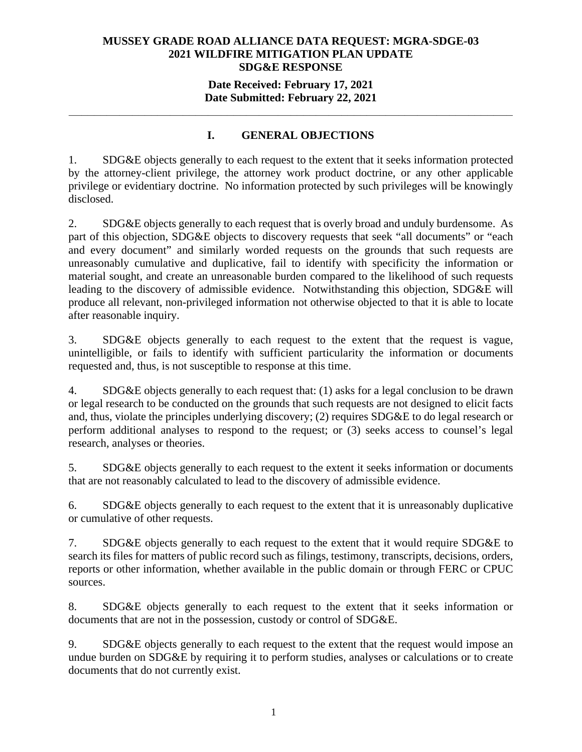## **MUSSEY GRADE ROAD ALLIANCE DATA REQUEST: MGRA-SDGE-03 2021 WILDFIRE MITIGATION PLAN UPDATE SDG&E RESPONSE**

## **Date Received: February 17, 2021 Date Submitted: February 22, 2021**

## **I. GENERAL OBJECTIONS**

**\_\_\_\_\_\_\_\_\_\_\_\_\_\_\_\_\_\_\_\_\_\_\_\_\_\_\_\_\_\_\_\_\_\_\_\_\_\_\_\_\_\_\_\_\_\_\_\_\_\_\_\_\_\_\_\_\_\_\_\_\_\_\_\_\_\_\_\_\_\_** 

1. SDG&E objects generally to each request to the extent that it seeks information protected by the attorney-client privilege, the attorney work product doctrine, or any other applicable privilege or evidentiary doctrine. No information protected by such privileges will be knowingly disclosed.

2. SDG&E objects generally to each request that is overly broad and unduly burdensome. As part of this objection, SDG&E objects to discovery requests that seek "all documents" or "each and every document" and similarly worded requests on the grounds that such requests are unreasonably cumulative and duplicative, fail to identify with specificity the information or material sought, and create an unreasonable burden compared to the likelihood of such requests leading to the discovery of admissible evidence. Notwithstanding this objection, SDG&E will produce all relevant, non-privileged information not otherwise objected to that it is able to locate after reasonable inquiry.

3. SDG&E objects generally to each request to the extent that the request is vague, unintelligible, or fails to identify with sufficient particularity the information or documents requested and, thus, is not susceptible to response at this time.

4. SDG&E objects generally to each request that: (1) asks for a legal conclusion to be drawn or legal research to be conducted on the grounds that such requests are not designed to elicit facts and, thus, violate the principles underlying discovery; (2) requires SDG&E to do legal research or perform additional analyses to respond to the request; or (3) seeks access to counsel's legal research, analyses or theories.

5. SDG&E objects generally to each request to the extent it seeks information or documents that are not reasonably calculated to lead to the discovery of admissible evidence.

6. SDG&E objects generally to each request to the extent that it is unreasonably duplicative or cumulative of other requests.

7. SDG&E objects generally to each request to the extent that it would require SDG&E to search its files for matters of public record such as filings, testimony, transcripts, decisions, orders, reports or other information, whether available in the public domain or through FERC or CPUC sources.

8. SDG&E objects generally to each request to the extent that it seeks information or documents that are not in the possession, custody or control of SDG&E.

9. SDG&E objects generally to each request to the extent that the request would impose an undue burden on SDG&E by requiring it to perform studies, analyses or calculations or to create documents that do not currently exist.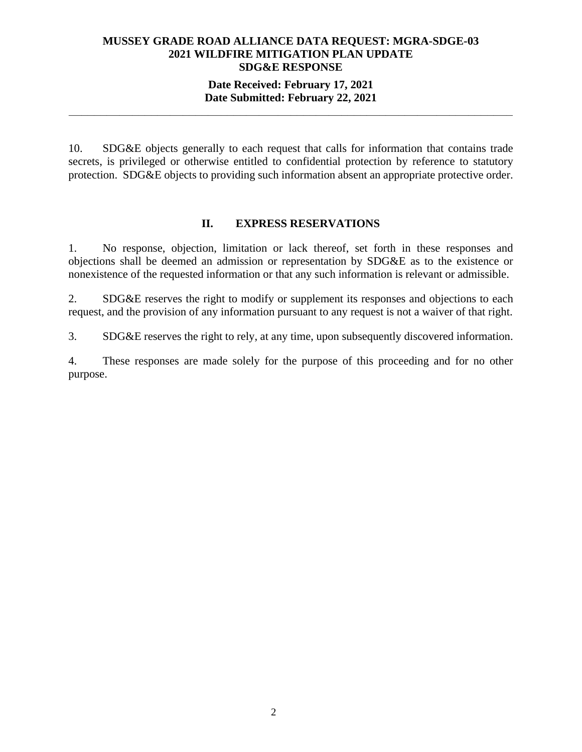## **MUSSEY GRADE ROAD ALLIANCE DATA REQUEST: MGRA-SDGE-03 2021 WILDFIRE MITIGATION PLAN UPDATE SDG&E RESPONSE**

## **Date Received: February 17, 2021 Date Submitted: February 22, 2021 \_\_\_\_\_\_\_\_\_\_\_\_\_\_\_\_\_\_\_\_\_\_\_\_\_\_\_\_\_\_\_\_\_\_\_\_\_\_\_\_\_\_\_\_\_\_\_\_\_\_\_\_\_\_\_\_\_\_\_\_\_\_\_\_\_\_\_\_\_\_**

10. SDG&E objects generally to each request that calls for information that contains trade secrets, is privileged or otherwise entitled to confidential protection by reference to statutory protection. SDG&E objects to providing such information absent an appropriate protective order.

## **II. EXPRESS RESERVATIONS**

1. No response, objection, limitation or lack thereof, set forth in these responses and objections shall be deemed an admission or representation by SDG&E as to the existence or nonexistence of the requested information or that any such information is relevant or admissible.

2. SDG&E reserves the right to modify or supplement its responses and objections to each request, and the provision of any information pursuant to any request is not a waiver of that right.

3. SDG&E reserves the right to rely, at any time, upon subsequently discovered information.

4. These responses are made solely for the purpose of this proceeding and for no other purpose.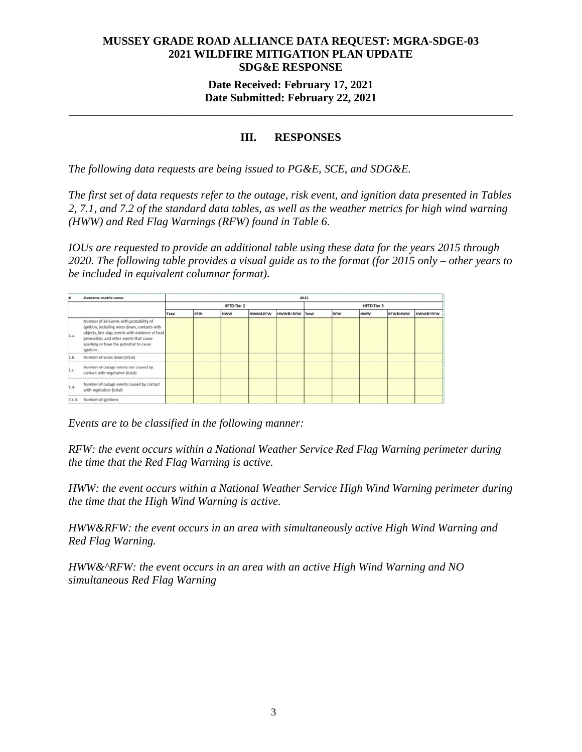## **MUSSEY GRADE ROAD ALLIANCE DATA REQUEST: MGRA-SDGE-03 2021 WILDFIRE MITIGATION PLAN UPDATE SDG&E RESPONSE Date Received: February 17, 2021**

## **Date Submitted: February 22, 2021 \_\_\_\_\_\_\_\_\_\_\_\_\_\_\_\_\_\_\_\_\_\_\_\_\_\_\_\_\_\_\_\_\_\_\_\_\_\_\_\_\_\_\_\_\_\_\_\_\_\_\_\_\_\_\_\_\_\_\_\_\_\_\_\_\_\_\_\_\_\_**

## **III. RESPONSES**

*The following data requests are being issued to PG&E, SCE, and SDG&E.* 

*The first set of data requests refer to the outage, risk event, and ignition data presented in Tables 2, 7.1, and 7.2 of the standard data tables, as well as the weather metrics for high wind warning (HWW) and Red Flag Warnings (RFW) found in Table 6.* 

*IOUs are requested to provide an additional table using these data for the years 2015 through 2020. The following table provides a visual guide as to the format (for 2015 only – other years to be included in equivalent columnar format).* 

|       | Outcome metric name                                                                                                                                                                                                                             | 2015  |                    |            |                    |                     |                    |            |            |                    |          |
|-------|-------------------------------------------------------------------------------------------------------------------------------------------------------------------------------------------------------------------------------------------------|-------|--------------------|------------|--------------------|---------------------|--------------------|------------|------------|--------------------|----------|
|       |                                                                                                                                                                                                                                                 |       | <b>HFTD Tier 2</b> |            |                    |                     | <b>HFTD Tier 3</b> |            |            |                    |          |
|       |                                                                                                                                                                                                                                                 | Total | <b>RFW</b>         | <b>HWW</b> | <b>HWW&amp;RFW</b> | <b>HWW&amp;^RFW</b> | Total              | <b>RFW</b> | <b>HWW</b> | <b>RFW&amp;HWW</b> | HWW&^RFW |
| 1.a.  | Number of all events with probability of<br>ignition, including wires down, contacts with<br>objects, line slap, events with evidence of heat<br>generation, and other events that cause<br>sparking or have the potential to cause<br>ignition |       |                    |            |                    |                     |                    |            |            |                    |          |
| 1.b.  | Number of wires down (total)                                                                                                                                                                                                                    |       |                    |            |                    |                     |                    |            |            |                    |          |
| 1.c.  | Number of outage events not caused by<br>contact with vegetation (total)                                                                                                                                                                        |       |                    |            |                    |                     |                    |            |            |                    |          |
| 1.d.  | Number of outage events caused by contact<br>with vegetation (total)                                                                                                                                                                            |       |                    |            |                    |                     |                    |            |            |                    |          |
| 7.6.8 | Number of ignitions                                                                                                                                                                                                                             |       |                    |            |                    |                     |                    |            |            |                    |          |

*Events are to be classified in the following manner:* 

*RFW: the event occurs within a National Weather Service Red Flag Warning perimeter during the time that the Red Flag Warning is active.* 

*HWW: the event occurs within a National Weather Service High Wind Warning perimeter during the time that the High Wind Warning is active.* 

*HWW&RFW: the event occurs in an area with simultaneously active High Wind Warning and Red Flag Warning.* 

*HWW&^RFW: the event occurs in an area with an active High Wind Warning and NO simultaneous Red Flag Warning*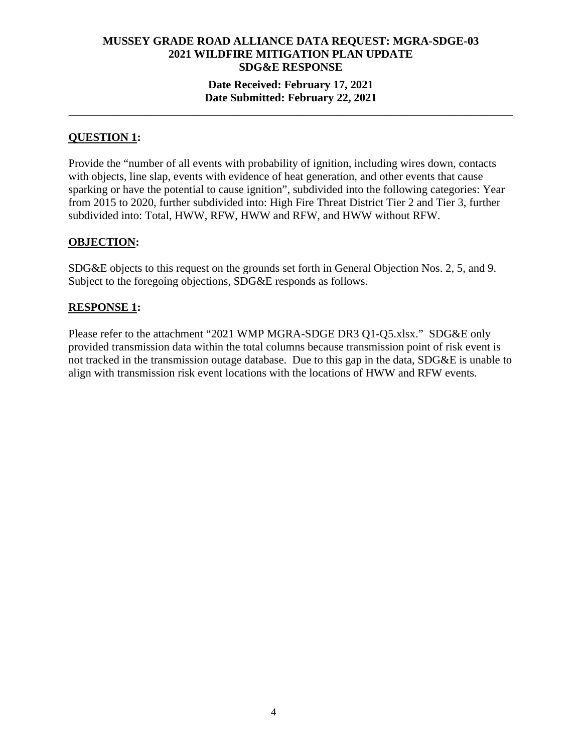**\_\_\_\_\_\_\_\_\_\_\_\_\_\_\_\_\_\_\_\_\_\_\_\_\_\_\_\_\_\_\_\_\_\_\_\_\_\_\_\_\_\_\_\_\_\_\_\_\_\_\_\_\_\_\_\_\_\_\_\_\_\_\_\_\_\_\_\_\_\_** 

## **QUESTION 1:**

Provide the "number of all events with probability of ignition, including wires down, contacts with objects, line slap, events with evidence of heat generation, and other events that cause sparking or have the potential to cause ignition", subdivided into the following categories: Year from 2015 to 2020, further subdivided into: High Fire Threat District Tier 2 and Tier 3, further subdivided into: Total, HWW, RFW, HWW and RFW, and HWW without RFW.

## **OBJECTION:**

SDG&E objects to this request on the grounds set forth in General Objection Nos. 2, 5, and 9. Subject to the foregoing objections, SDG&E responds as follows.

## **RESPONSE 1:**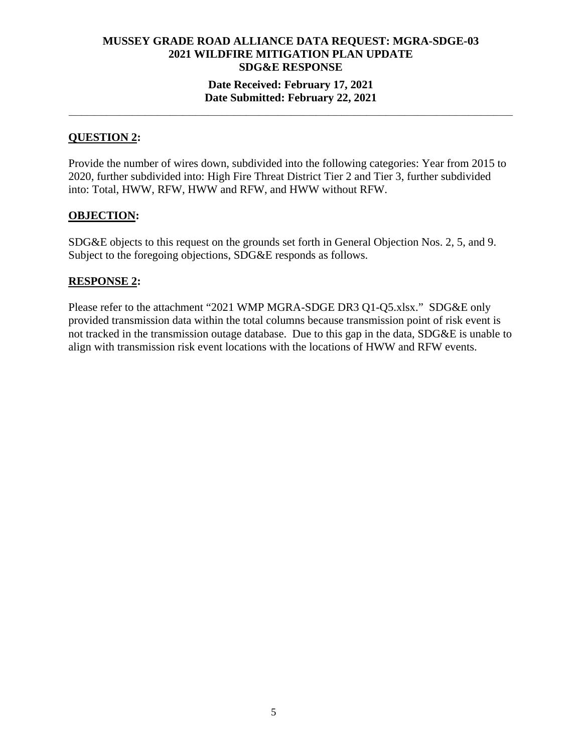**\_\_\_\_\_\_\_\_\_\_\_\_\_\_\_\_\_\_\_\_\_\_\_\_\_\_\_\_\_\_\_\_\_\_\_\_\_\_\_\_\_\_\_\_\_\_\_\_\_\_\_\_\_\_\_\_\_\_\_\_\_\_\_\_\_\_\_\_\_\_** 

## **QUESTION 2:**

Provide the number of wires down, subdivided into the following categories: Year from 2015 to 2020, further subdivided into: High Fire Threat District Tier 2 and Tier 3, further subdivided into: Total, HWW, RFW, HWW and RFW, and HWW without RFW.

#### **OBJECTION:**

SDG&E objects to this request on the grounds set forth in General Objection Nos. 2, 5, and 9. Subject to the foregoing objections, SDG&E responds as follows.

## **RESPONSE 2:**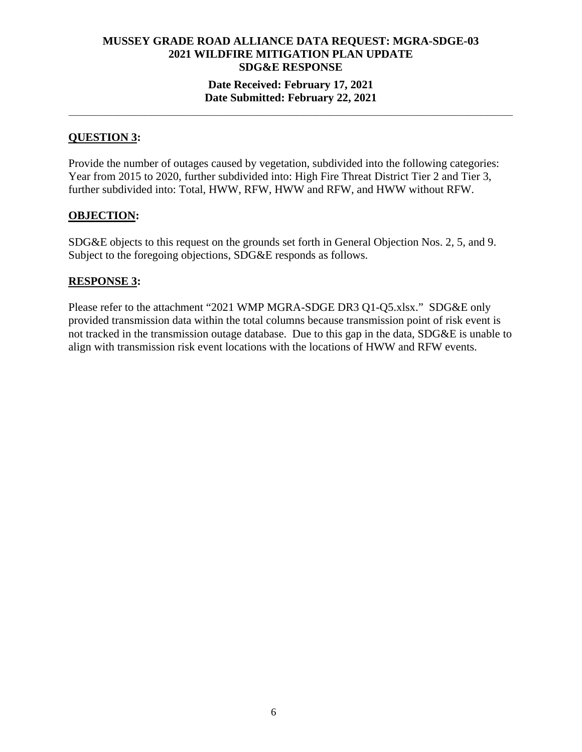**\_\_\_\_\_\_\_\_\_\_\_\_\_\_\_\_\_\_\_\_\_\_\_\_\_\_\_\_\_\_\_\_\_\_\_\_\_\_\_\_\_\_\_\_\_\_\_\_\_\_\_\_\_\_\_\_\_\_\_\_\_\_\_\_\_\_\_\_\_\_** 

## **QUESTION 3:**

Provide the number of outages caused by vegetation, subdivided into the following categories: Year from 2015 to 2020, further subdivided into: High Fire Threat District Tier 2 and Tier 3, further subdivided into: Total, HWW, RFW, HWW and RFW, and HWW without RFW.

#### **OBJECTION:**

SDG&E objects to this request on the grounds set forth in General Objection Nos. 2, 5, and 9. Subject to the foregoing objections, SDG&E responds as follows.

#### **RESPONSE 3:**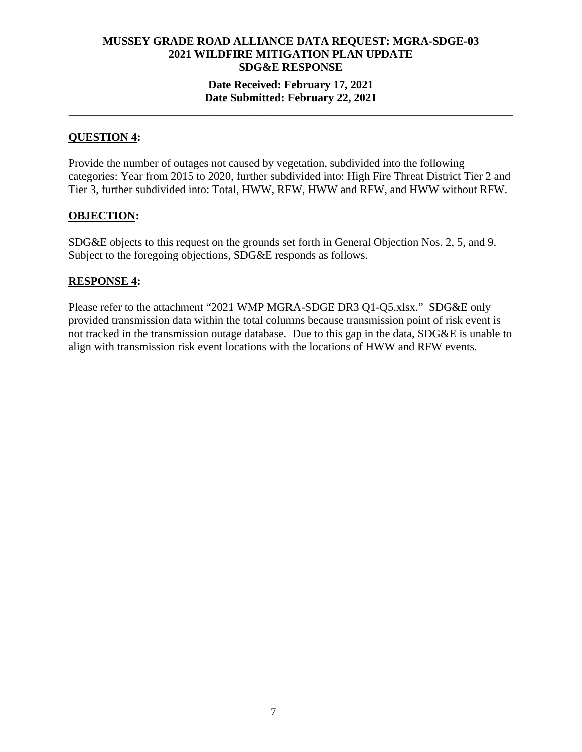**\_\_\_\_\_\_\_\_\_\_\_\_\_\_\_\_\_\_\_\_\_\_\_\_\_\_\_\_\_\_\_\_\_\_\_\_\_\_\_\_\_\_\_\_\_\_\_\_\_\_\_\_\_\_\_\_\_\_\_\_\_\_\_\_\_\_\_\_\_\_** 

## **QUESTION 4:**

Provide the number of outages not caused by vegetation, subdivided into the following categories: Year from 2015 to 2020, further subdivided into: High Fire Threat District Tier 2 and Tier 3, further subdivided into: Total, HWW, RFW, HWW and RFW, and HWW without RFW.

#### **OBJECTION:**

SDG&E objects to this request on the grounds set forth in General Objection Nos. 2, 5, and 9. Subject to the foregoing objections, SDG&E responds as follows.

#### **RESPONSE 4:**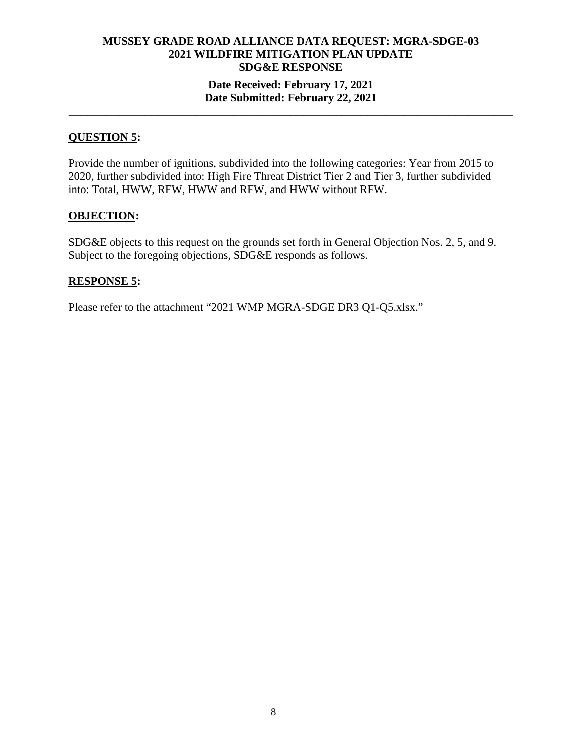**\_\_\_\_\_\_\_\_\_\_\_\_\_\_\_\_\_\_\_\_\_\_\_\_\_\_\_\_\_\_\_\_\_\_\_\_\_\_\_\_\_\_\_\_\_\_\_\_\_\_\_\_\_\_\_\_\_\_\_\_\_\_\_\_\_\_\_\_\_\_** 

## **QUESTION 5:**

Provide the number of ignitions, subdivided into the following categories: Year from 2015 to 2020, further subdivided into: High Fire Threat District Tier 2 and Tier 3, further subdivided into: Total, HWW, RFW, HWW and RFW, and HWW without RFW.

#### **OBJECTION:**

SDG&E objects to this request on the grounds set forth in General Objection Nos. 2, 5, and 9. Subject to the foregoing objections, SDG&E responds as follows.

#### **RESPONSE 5:**

Please refer to the attachment "2021 WMP MGRA-SDGE DR3 Q1-Q5.xlsx."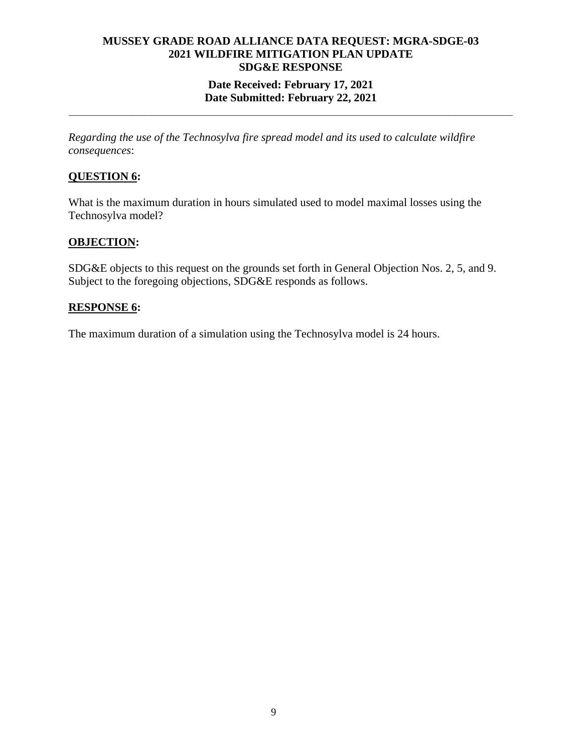## **MUSSEY GRADE ROAD ALLIANCE DATA REQUEST: MGRA-SDGE-03 2021 WILDFIRE MITIGATION PLAN UPDATE SDG&E RESPONSE Date Received: February 17, 2021**

# **Date Submitted: February 22, 2021 \_\_\_\_\_\_\_\_\_\_\_\_\_\_\_\_\_\_\_\_\_\_\_\_\_\_\_\_\_\_\_\_\_\_\_\_\_\_\_\_\_\_\_\_\_\_\_\_\_\_\_\_\_\_\_\_\_\_\_\_\_\_\_\_\_\_\_\_\_\_**

*Regarding the use of the Technosylva fire spread model and its used to calculate wildfire consequences*:

## **QUESTION 6:**

What is the maximum duration in hours simulated used to model maximal losses using the Technosylva model?

## **OBJECTION:**

SDG&E objects to this request on the grounds set forth in General Objection Nos. 2, 5, and 9. Subject to the foregoing objections, SDG&E responds as follows.

## **RESPONSE 6:**

The maximum duration of a simulation using the Technosylva model is 24 hours.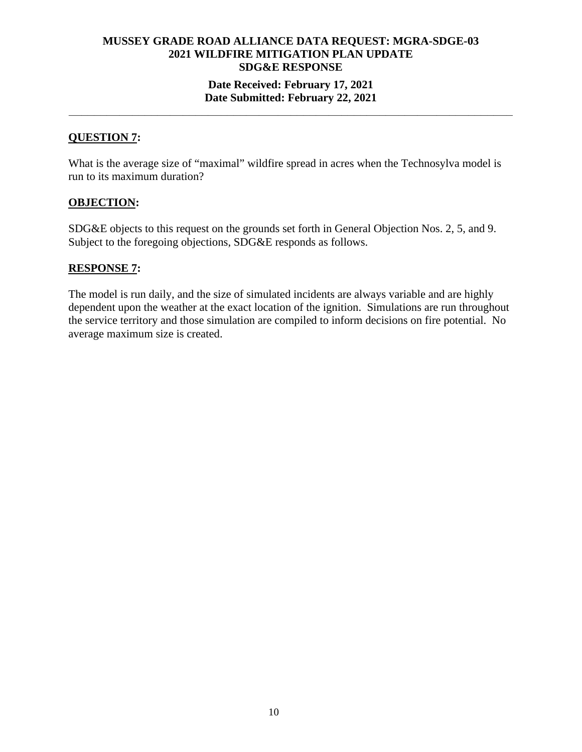## **MUSSEY GRADE ROAD ALLIANCE DATA REQUEST: MGRA-SDGE-03 2021 WILDFIRE MITIGATION PLAN UPDATE SDG&E RESPONSE Date Received: February 17, 2021**

## **Date Submitted: February 22, 2021 \_\_\_\_\_\_\_\_\_\_\_\_\_\_\_\_\_\_\_\_\_\_\_\_\_\_\_\_\_\_\_\_\_\_\_\_\_\_\_\_\_\_\_\_\_\_\_\_\_\_\_\_\_\_\_\_\_\_\_\_\_\_\_\_\_\_\_\_\_\_**

## **QUESTION 7:**

What is the average size of "maximal" wildfire spread in acres when the Technosylva model is run to its maximum duration?

#### **OBJECTION:**

SDG&E objects to this request on the grounds set forth in General Objection Nos. 2, 5, and 9. Subject to the foregoing objections, SDG&E responds as follows.

#### **RESPONSE 7:**

The model is run daily, and the size of simulated incidents are always variable and are highly dependent upon the weather at the exact location of the ignition. Simulations are run throughout the service territory and those simulation are compiled to inform decisions on fire potential. No average maximum size is created.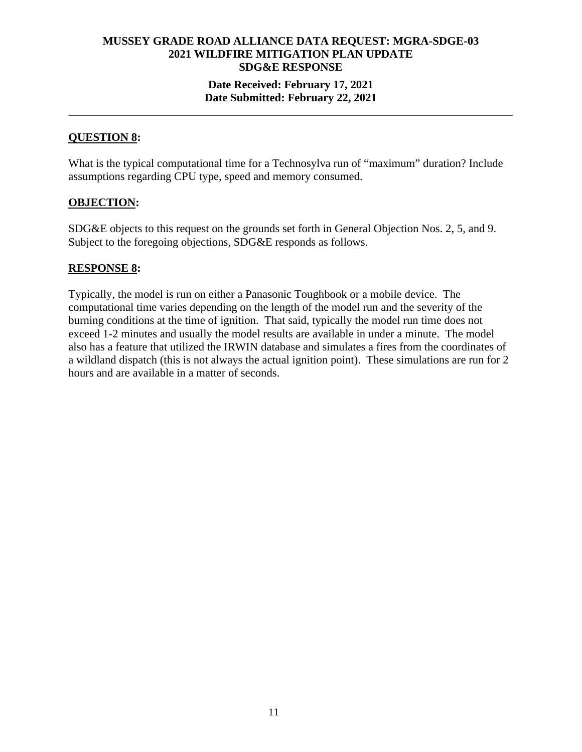**\_\_\_\_\_\_\_\_\_\_\_\_\_\_\_\_\_\_\_\_\_\_\_\_\_\_\_\_\_\_\_\_\_\_\_\_\_\_\_\_\_\_\_\_\_\_\_\_\_\_\_\_\_\_\_\_\_\_\_\_\_\_\_\_\_\_\_\_\_\_** 

## **QUESTION 8:**

What is the typical computational time for a Technosylva run of "maximum" duration? Include assumptions regarding CPU type, speed and memory consumed.

#### **OBJECTION:**

SDG&E objects to this request on the grounds set forth in General Objection Nos. 2, 5, and 9. Subject to the foregoing objections, SDG&E responds as follows.

#### **RESPONSE 8:**

Typically, the model is run on either a Panasonic Toughbook or a mobile device. The computational time varies depending on the length of the model run and the severity of the burning conditions at the time of ignition. That said, typically the model run time does not exceed 1-2 minutes and usually the model results are available in under a minute. The model also has a feature that utilized the IRWIN database and simulates a fires from the coordinates of a wildland dispatch (this is not always the actual ignition point). These simulations are run for 2 hours and are available in a matter of seconds.